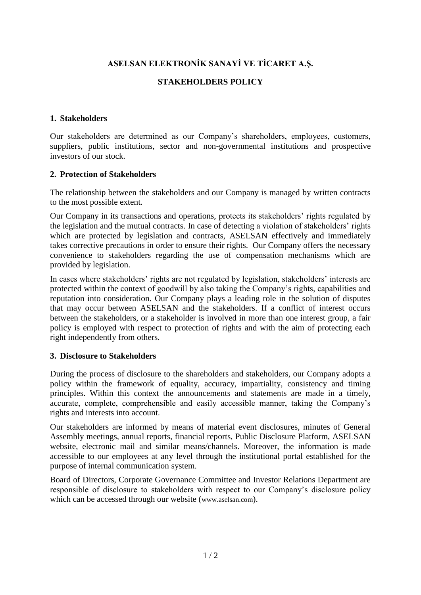# **ASELSAN ELEKTRONİK SANAYİ VE TİCARET A.Ş.**

# **STAKEHOLDERS POLICY**

#### **1. Stakeholders**

Our stakeholders are determined as our Company's shareholders, employees, customers, suppliers, public institutions, sector and non-governmental institutions and prospective investors of our stock.

#### **2. Protection of Stakeholders**

The relationship between the stakeholders and our Company is managed by written contracts to the most possible extent.

Our Company in its transactions and operations, protects its stakeholders' rights regulated by the legislation and the mutual contracts. In case of detecting a violation of stakeholders' rights which are protected by legislation and contracts, ASELSAN effectively and immediately takes corrective precautions in order to ensure their rights. Our Company offers the necessary convenience to stakeholders regarding the use of compensation mechanisms which are provided by legislation.

In cases where stakeholders' rights are not regulated by legislation, stakeholders' interests are protected within the context of goodwill by also taking the Company's rights, capabilities and reputation into consideration. Our Company plays a leading role in the solution of disputes that may occur between ASELSAN and the stakeholders. If a conflict of interest occurs between the stakeholders, or a stakeholder is involved in more than one interest group, a fair policy is employed with respect to protection of rights and with the aim of protecting each right independently from others.

#### **3. Disclosure to Stakeholders**

During the process of disclosure to the shareholders and stakeholders, our Company adopts a policy within the framework of equality, accuracy, impartiality, consistency and timing principles. Within this context the announcements and statements are made in a timely, accurate, complete, comprehensible and easily accessible manner, taking the Company's rights and interests into account.

Our stakeholders are informed by means of material event disclosures, minutes of General Assembly meetings, annual reports, financial reports, Public Disclosure Platform, ASELSAN website, electronic mail and similar means/channels. Moreover, the information is made accessible to our employees at any level through the institutional portal established for the purpose of internal communication system.

Board of Directors, Corporate Governance Committee and Investor Relations Department are responsible of disclosure to stakeholders with respect to our Company's disclosure policy which can be accessed through our website (www.aselsan.com).